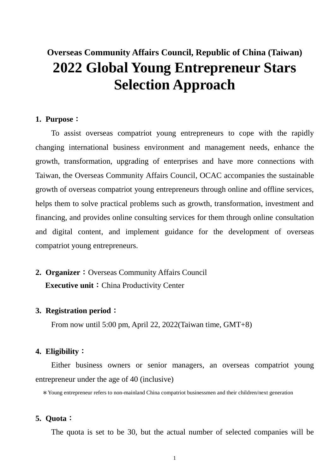# **Overseas Community Affairs Council, Republic of China (Taiwan) 2022 Global Young Entrepreneur Stars Selection Approach**

#### **1. Purpose**:

To assist overseas compatriot young entrepreneurs to cope with the rapidly changing international business environment and management needs, enhance the growth, transformation, upgrading of enterprises and have more connections with Taiwan, the Overseas Community Affairs Council, OCAC accompanies the sustainable growth of overseas compatriot young entrepreneurs through online and offline services, helps them to solve practical problems such as growth, transformation, investment and financing, and provides online consulting services for them through online consultation and digital content, and implement guidance for the development of overseas compatriot young entrepreneurs.

**2. Organizer:** Overseas Community Affairs Council **Executive unit:** China Productivity Center

#### **3. Registration period**:

From now until 5:00 pm, April 22, 2022(Taiwan time, GMT+8)

#### **4. Eligibility**:

Either business owners or senior managers, an overseas compatriot young entrepreneur under the age of 40 (inclusive)

\*Young entrepreneur refers to non-mainland China compatriot businessmen and their children/next generation

### **5. Quota**:

The quota is set to be 30, but the actual number of selected companies will be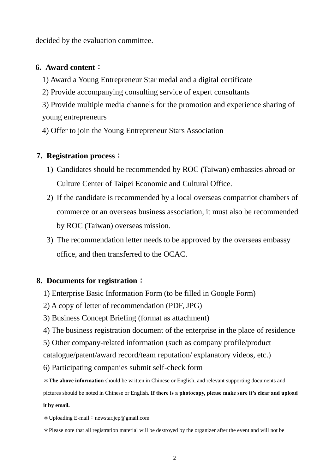decided by the evaluation committee.

#### **6. Award content**:

- 1) Award a Young Entrepreneur Star medal and a digital certificate
- 2) Provide accompanying consulting service of expert consultants
- 3) Provide multiple media channels for the promotion and experience sharing of young entrepreneurs
- 4) Offer to join the Young Entrepreneur Stars Association

### **7. Registration process**:

- 1) Candidates should be recommended by ROC (Taiwan) embassies abroad or Culture Center of Taipei Economic and Cultural Office.
- 2) If the candidate is recommended by a local overseas compatriot chambers of commerce or an overseas business association, it must also be recommended by ROC (Taiwan) overseas mission.
- 3) The recommendation letter needs to be approved by the overseas embassy office, and then transferred to the OCAC.

### **8. Documents for registration**:

- 1) Enterprise Basic Information Form (to be filled in Google Form)
- 2) A copy of letter of recommendation (PDF, JPG)
- 3) Business Concept Briefing (format as attachment)
- 4) The business registration document of the enterprise in the place of residence
- 5) Other company-related information (such as company profile/product

catalogue/patent/award record/team reputation/ explanatory videos, etc.)

- 6) Participating companies submit self-check form
- \***The above information** should be written in Chinese or English, and relevant supporting documents and

pictures should be noted in Chinese or English. **If there is a photocopy, please make sure it's clear and upload** 

#### **it by email.**

\*Uploading E-mail:newstar.jep@gmail.com

\*Please note that all registration material will be destroyed by the organizer after the event and will not be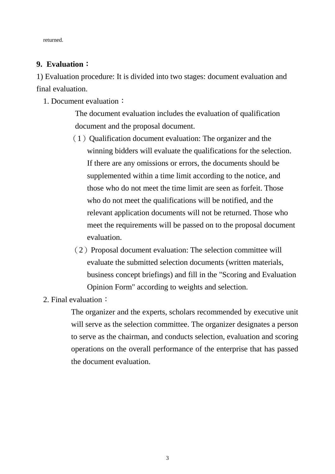returned.

### **9. Evaluation**:

1) Evaluation procedure: It is divided into two stages: document evaluation and final evaluation.

1. Document evaluation:

The document evaluation includes the evaluation of qualification document and the proposal document.

- $(1)$  Qualification document evaluation: The organizer and the winning bidders will evaluate the qualifications for the selection. If there are any omissions or errors, the documents should be supplemented within a time limit according to the notice, and those who do not meet the time limit are seen as forfeit. Those who do not meet the qualifications will be notified, and the relevant application documents will not be returned. Those who meet the requirements will be passed on to the proposal document evaluation.
- (2)Proposal document evaluation: The selection committee will evaluate the submitted selection documents (written materials, business concept briefings) and fill in the "Scoring and Evaluation Opinion Form" according to weights and selection.
- 2. Final evaluation:

The organizer and the experts, scholars recommended by executive unit will serve as the selection committee. The organizer designates a person to serve as the chairman, and conducts selection, evaluation and scoring operations on the overall performance of the enterprise that has passed the document evaluation.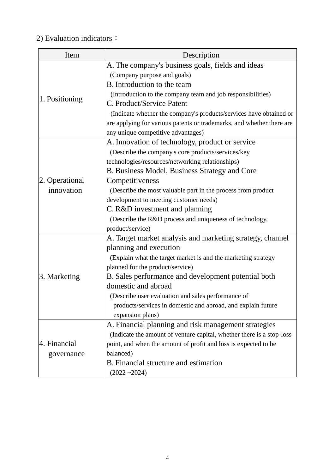## 2) Evaluation indicators:

| Item           | Description                                                           |  |  |
|----------------|-----------------------------------------------------------------------|--|--|
|                | A. The company's business goals, fields and ideas                     |  |  |
|                | (Company purpose and goals)                                           |  |  |
|                | B. Introduction to the team                                           |  |  |
|                | (Introduction to the company team and job responsibilities)           |  |  |
| 1. Positioning | C. Product/Service Patent                                             |  |  |
|                | (Indicate whether the company's products/services have obtained or    |  |  |
|                | are applying for various patents or trademarks, and whether there are |  |  |
|                | any unique competitive advantages)                                    |  |  |
|                | A. Innovation of technology, product or service                       |  |  |
|                | (Describe the company's core products/services/key                    |  |  |
|                | technologies/resources/networking relationships)                      |  |  |
|                | <b>B. Business Model, Business Strategy and Core</b>                  |  |  |
| 2. Operational | Competitiveness                                                       |  |  |
| innovation     | (Describe the most valuable part in the process from product)         |  |  |
|                | development to meeting customer needs)                                |  |  |
|                | C. R&D investment and planning                                        |  |  |
|                | (Describe the R&D process and uniqueness of technology,               |  |  |
|                | product/service)                                                      |  |  |
|                | A. Target market analysis and marketing strategy, channel             |  |  |
|                | planning and execution                                                |  |  |
|                | (Explain what the target market is and the marketing strategy         |  |  |
|                | planned for the product/service)                                      |  |  |
| 3. Marketing   | B. Sales performance and development potential both                   |  |  |
|                | domestic and abroad                                                   |  |  |
|                | (Describe user evaluation and sales performance of                    |  |  |
|                | products/services in domestic and abroad, and explain future          |  |  |
|                | expansion plans)                                                      |  |  |
|                | A. Financial planning and risk management strategies                  |  |  |
|                | (Indicate the amount of venture capital, whether there is a stop-loss |  |  |
| 4. Financial   | point, and when the amount of profit and loss is expected to be       |  |  |
| governance     | balanced)                                                             |  |  |
|                | B. Financial structure and estimation                                 |  |  |
|                | $(2022 - 2024)$                                                       |  |  |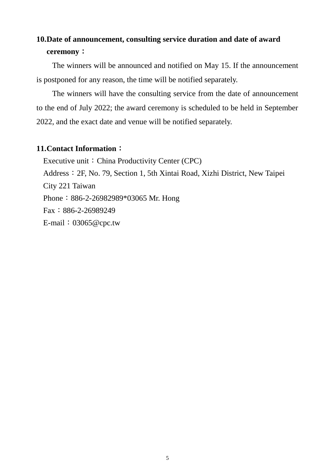## **10.Date of announcement, consulting service duration and date of award ceremony**:

The winners will be announced and notified on May 15. If the announcement is postponed for any reason, the time will be notified separately.

The winners will have the consulting service from the date of announcement to the end of July 2022; the award ceremony is scheduled to be held in September 2022, and the exact date and venue will be notified separately.

#### **11.Contact Information**:

Executive unit: China Productivity Center (CPC) Address:2F, No. 79, Section 1, 5th Xintai Road, Xizhi District, New Taipei City 221 Taiwan Phone: 886-2-26982989\*03065 Mr. Hong  $Fax:886-2-26989249$ E-mail:03065@cpc.tw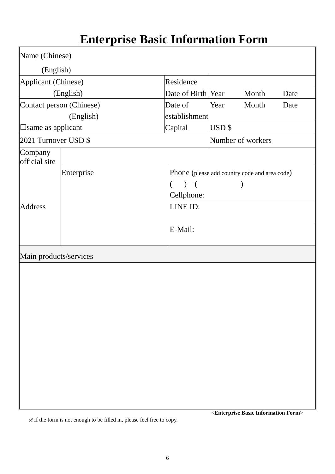# **Enterprise Basic Information Form**

| Name (Chinese)             |                          |                                               |                   |       |      |
|----------------------------|--------------------------|-----------------------------------------------|-------------------|-------|------|
| (English)                  |                          |                                               |                   |       |      |
| Applicant (Chinese)        |                          | Residence                                     |                   |       |      |
|                            | (English)                | Date of Birth Year                            |                   | Month | Date |
|                            | Contact person (Chinese) | Date of                                       | Year              | Month | Date |
| (English)                  |                          | establishment                                 |                   |       |      |
| <b>□</b> same as applicant |                          | Capital                                       | USD \$            |       |      |
| 2021 Turnover USD \$       |                          |                                               | Number of workers |       |      |
| Company<br>official site   |                          |                                               |                   |       |      |
|                            | Enterprise               | Phone (please add country code and area code) |                   |       |      |
|                            |                          | $) - ($                                       |                   |       |      |
|                            |                          | Cellphone:                                    |                   |       |      |
| <b>Address</b>             |                          | LINE ID:                                      |                   |       |      |
|                            |                          | E-Mail:                                       |                   |       |      |
|                            |                          |                                               |                   |       |      |
| Main products/services     |                          |                                               |                   |       |      |
|                            |                          |                                               |                   |       |      |
|                            |                          |                                               |                   |       |      |
|                            |                          |                                               |                   |       |      |
|                            |                          |                                               |                   |       |      |
|                            |                          |                                               |                   |       |      |
|                            |                          |                                               |                   |       |      |
|                            |                          |                                               |                   |       |      |
|                            |                          |                                               |                   |       |      |
|                            |                          |                                               |                   |       |      |
|                            |                          |                                               |                   |       |      |
|                            |                          |                                               |                   |       |      |
|                            |                          |                                               |                   |       |      |
|                            |                          |                                               |                   |       |      |

※If the form is not enough to be filled in, please feel free to copy.

<**Enterprise Basic Information Form**>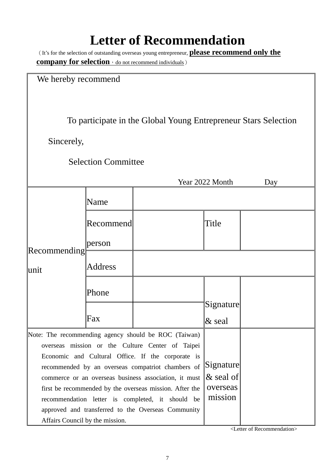# **Letter of Recommendation**

(It's for the selection of outstanding overseas young entrepreneur, **please recommend only the company for selection**, do not recommend individuals)

|  | We hereby recommend |
|--|---------------------|
|--|---------------------|

To participate in the Global Young Entrepreneur Stars Selection

Sincerely,

|  | <b>Selection Committee</b> |
|--|----------------------------|
|--|----------------------------|

| Year 2022 Month<br>Day          |                |                                                                                                                                                                                                                                                                                                                                                                                                                                                  |                                                  |  |
|---------------------------------|----------------|--------------------------------------------------------------------------------------------------------------------------------------------------------------------------------------------------------------------------------------------------------------------------------------------------------------------------------------------------------------------------------------------------------------------------------------------------|--------------------------------------------------|--|
|                                 | Name           |                                                                                                                                                                                                                                                                                                                                                                                                                                                  |                                                  |  |
|                                 | Recommend      |                                                                                                                                                                                                                                                                                                                                                                                                                                                  | Title                                            |  |
| Recommending<br>∥unit           | person         |                                                                                                                                                                                                                                                                                                                                                                                                                                                  |                                                  |  |
|                                 | <b>Address</b> |                                                                                                                                                                                                                                                                                                                                                                                                                                                  |                                                  |  |
|                                 | Phone          |                                                                                                                                                                                                                                                                                                                                                                                                                                                  |                                                  |  |
|                                 |                |                                                                                                                                                                                                                                                                                                                                                                                                                                                  | Signature                                        |  |
|                                 | Fax            |                                                                                                                                                                                                                                                                                                                                                                                                                                                  | $&$ seal                                         |  |
| Affairs Council by the mission. |                | Note: The recommending agency should be ROC (Taiwan)<br>overseas mission or the Culture Center of Taipei<br>Economic and Cultural Office. If the corporate is<br>recommended by an overseas compatriot chambers of<br>commerce or an overseas business association, it must<br>first be recommended by the overseas mission. After the<br>recommendation letter is completed, it should be<br>approved and transferred to the Overseas Community | Signature<br>$\&$ seal of<br>overseas<br>mission |  |

<Letter of Recommendation>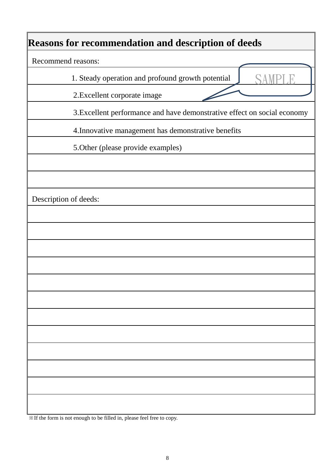## **Reasons for recommendation and description of deeds**

Recommend reasons:

1. Steady operation and profound growth potential

2.Excellent corporate image

3.Excellent performance and have demonstrative effect on social economy

SAMPLE

4.Innovative management has demonstrative benefits

5.Other (please provide examples)

Description of deeds:

※If the form is not enough to be filled in, please feel free to copy.